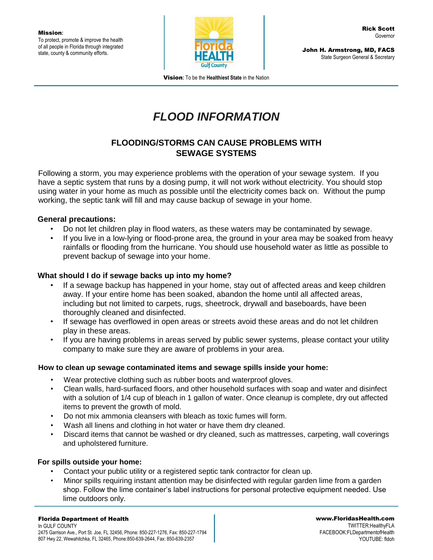

John H. Armstrong, MD, FACS State Surgeon General & Secretary

Vision**:** To be the **Healthiest State** in the Nation

# *FLOOD INFORMATION*

## **FLOODING/STORMS CAN CAUSE PROBLEMS WITH SEWAGE SYSTEMS**

Following a storm, you may experience problems with the operation of your sewage system. If you have a septic system that runs by a dosing pump, it will not work without electricity. You should stop using water in your home as much as possible until the electricity comes back on. Without the pump working, the septic tank will fill and may cause backup of sewage in your home.

### **General precautions:**

- Do not let children play in flood waters, as these waters may be contaminated by sewage.
- If you live in a low-lying or flood-prone area, the ground in your area may be soaked from heavy rainfalls or flooding from the hurricane. You should use household water as little as possible to prevent backup of sewage into your home.

## **What should I do if sewage backs up into my home?**

- If a sewage backup has happened in your home, stay out of affected areas and keep children away. If your entire home has been soaked, abandon the home until all affected areas, including but not limited to carpets, rugs, sheetrock, drywall and baseboards, have been thoroughly cleaned and disinfected.
- If sewage has overflowed in open areas or streets avoid these areas and do not let children play in these areas.
- If you are having problems in areas served by public sewer systems, please contact your utility company to make sure they are aware of problems in your area.

### **How to clean up sewage contaminated items and sewage spills inside your home:**

- Wear protective clothing such as rubber boots and waterproof gloves.
- Clean walls, hard-surfaced floors, and other household surfaces with soap and water and disinfect with a solution of 1/4 cup of bleach in 1 gallon of water. Once cleanup is complete, dry out affected items to prevent the growth of mold.
- Do not mix ammonia cleansers with bleach as toxic fumes will form.
- Wash all linens and clothing in hot water or have them dry cleaned.
- Discard items that cannot be washed or dry cleaned, such as mattresses, carpeting, wall coverings and upholstered furniture.

### **For spills outside your home:**

- Contact your public utility or a registered septic tank contractor for clean up.
- Minor spills requiring instant attention may be disinfected with regular garden lime from a garden shop. Follow the lime container's label instructions for personal protective equipment needed. Use lime outdoors only.